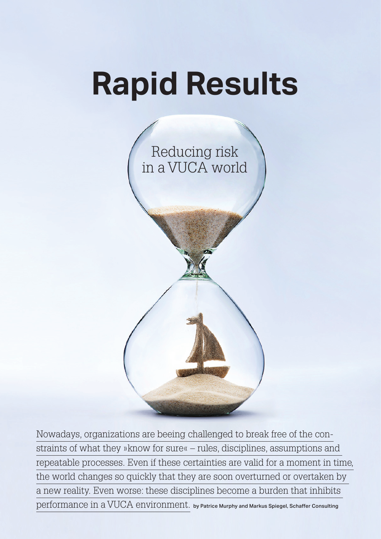# **Rapid Results**



 $\operatorname{performance}$  in a  $\operatorname{VUCA}$   $\operatorname{environment.}$  by Patrice Murphy and Markus Spiegel, Schaffer Consulting Nowadays, organizations are beeing challenged to break free of the constraints of what they »know for sure« – rules, disciplines, assumptions and repeatable processes. Even if these certainties are valid for a moment in time, the world changes so quickly that they are soon overturned or overtaken by a new reality. Even worse: these disciplines become a burden that inhibits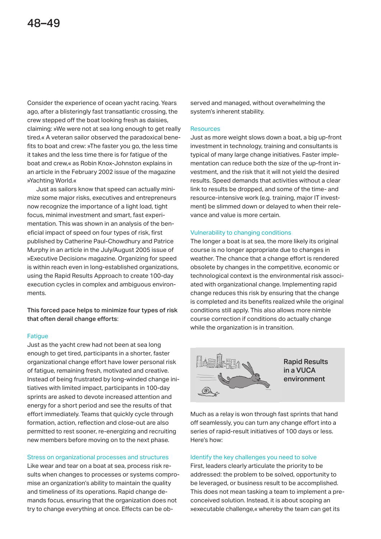Consider the experience of ocean yacht racing. Years ago, after a blisteringly fast transatlantic crossing, the crew stepped off the boat looking fresh as daisies, claiming: »We were not at sea long enough to get really tired.« A veteran sailor observed the paradoxical benefits to boat and crew: »The faster you go, the less time it takes and the less time there is for fatigue of the boat and crew,« as Robin Knox-Johnston explains in an article in the February 2002 issue of the magazine »Yachting World.«

 Just as sailors know that speed can actually minimize some major risks, executives and entrepreneurs now recognize the importance of a light load, tight focus, minimal investment and smart, fast experimentation. This was shown in an analysis of the beneficial impact of speed on four types of risk, first published by Catherine Paul-Chowdhury and Patrice Murphy in an article in the July/August 2005 issue of »Executive Decision« magazine. Organizing for speed is within reach even in long-established organizations, using the Rapid Results Approach to create 100-day execution cycles in complex and ambiguous environments.

This forced pace helps to minimize four types of risk that often derail change efforts:

# **Fatique**

Just as the yacht crew had not been at sea long enough to get tired, participants in a shorter, faster organizational change effort have lower personal risk of fatigue, remaining fresh, motivated and creative. Instead of being frustrated by long-winded change initiatives with limited impact, participants in 100-day sprints are asked to devote increased attention and energy for a short period and see the results of that effort immediately. Teams that quickly cycle through formation, action, reflection and close-out are also permitted to rest sooner, re-energizing and recruiting new members before moving on to the next phase.

# Stress on organizational processes and structures

Like wear and tear on a boat at sea, process risk results when changes to processes or systems compromise an organization's ability to maintain the quality and timeliness of its operations. Rapid change demands focus, ensuring that the organization does not try to change everything at once. Effects can be ob-

served and managed, without overwhelming the system's inherent stability.

# **Resources**

Just as more weight slows down a boat, a big up-front investment in technology, training and consultants is typical of many large change initiatives. Faster implementation can reduce both the size of the up-front investment, and the risk that it will not yield the desired results. Speed demands that activities without a clear link to results be dropped, and some of the time- and resource-intensive work (e.g. training, major IT investment) be slimmed down or delayed to when their relevance and value is more certain.

# Vulnerability to changing conditions

The longer a boat is at sea, the more likely its original course is no longer appropriate due to changes in weather. The chance that a change effort is rendered obsolete by changes in the competitive, economic or technological context is the environmental risk associated with organizational change. Implementing rapid change reduces this risk by ensuring that the change is completed and its benefits realized while the original conditions still apply. This also allows more nimble course correction if conditions do actually change while the organization is in transition.



Much as a relay is won through fast sprints that hand off seamlessly, you can turn any change effort into a series of rapid-result initiatives of 100 days or less. Here's how:

# Identify the key challenges you need to solve

First, leaders clearly articulate the priority to be addressed: the problem to be solved, opportunity to be leveraged, or business result to be accomplished. This does not mean tasking a team to implement a preconceived solution. Instead, it is about scoping an »executable challenge,« whereby the team can get its